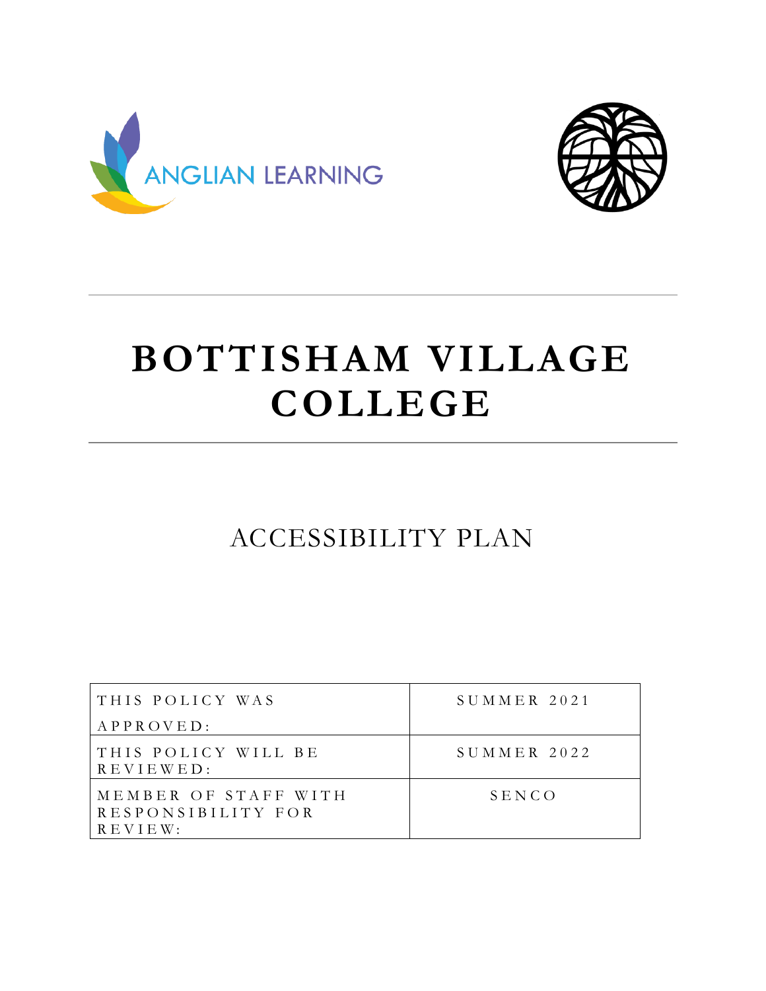



# **BOTTISHAM VILLAGE COLLEGE**

## ACCESSIBILITY PLAN

| THIS POLICY WAS                                              | $S$ UMMER 2021 |
|--------------------------------------------------------------|----------------|
| $APPROVED$ :                                                 |                |
| THIS POLICY WILL BE<br>REVIEWED:                             | $S$ UMMER 2022 |
| MEMBER OF STAFF WITH<br>RESPONSIBILITY FOR<br>$R$ E V I E W: | SENCO          |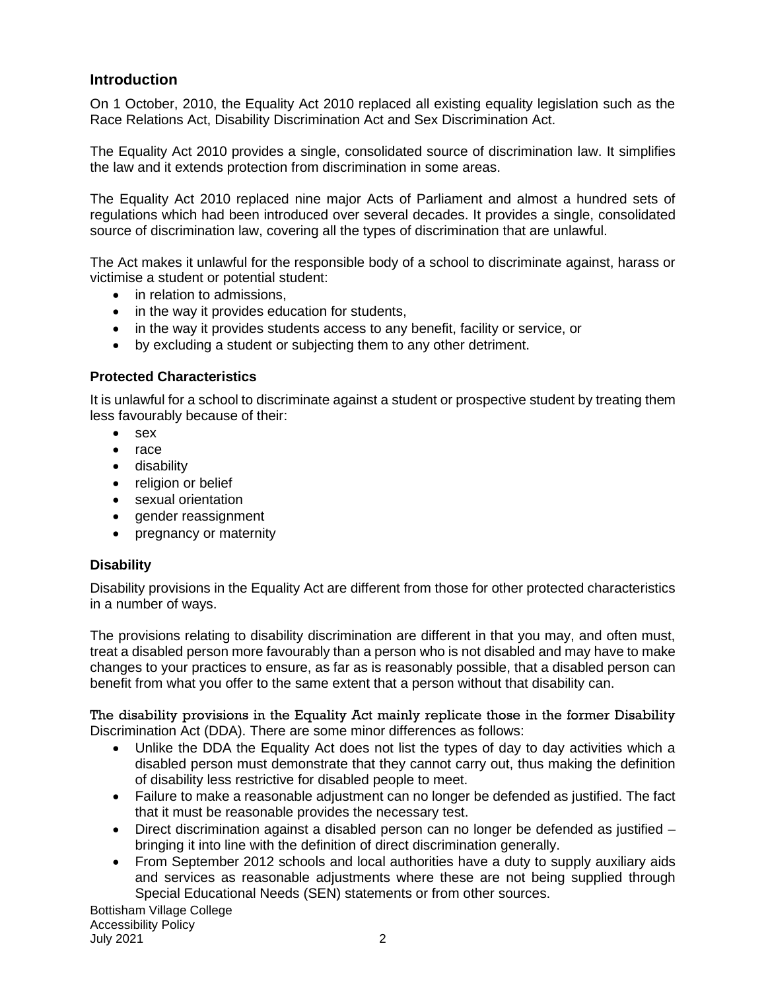#### **Introduction**

On 1 October, 2010, the Equality Act 2010 replaced all existing equality legislation such as the Race Relations Act, Disability Discrimination Act and Sex Discrimination Act.

The Equality Act 2010 provides a single, consolidated source of discrimination law. It simplifies the law and it extends protection from discrimination in some areas.

The Equality Act 2010 replaced nine major Acts of Parliament and almost a hundred sets of regulations which had been introduced over several decades. It provides a single, consolidated source of discrimination law, covering all the types of discrimination that are unlawful.

The Act makes it unlawful for the responsible body of a school to discriminate against, harass or victimise a student or potential student:

- in relation to admissions.
- in the way it provides education for students,
- in the way it provides students access to any benefit, facility or service, or
- by excluding a student or subjecting them to any other detriment.

#### **Protected Characteristics**

It is unlawful for a school to discriminate against a student or prospective student by treating them less favourably because of their:

- sex
- race
- disability
- religion or belief
- sexual orientation
- gender reassignment
- pregnancy or maternity

#### **Disability**

Disability provisions in the Equality Act are different from those for other protected characteristics in a number of ways.

The provisions relating to disability discrimination are different in that you may, and often must, treat a disabled person more favourably than a person who is not disabled and may have to make changes to your practices to ensure, as far as is reasonably possible, that a disabled person can benefit from what you offer to the same extent that a person without that disability can.

The disability provisions in the Equality Act mainly replicate those in the former Disability Discrimination Act (DDA). There are some minor differences as follows:

- Unlike the DDA the Equality Act does not list the types of day to day activities which a disabled person must demonstrate that they cannot carry out, thus making the definition of disability less restrictive for disabled people to meet.
- Failure to make a reasonable adjustment can no longer be defended as justified. The fact that it must be reasonable provides the necessary test.
- Direct discrimination against a disabled person can no longer be defended as justified bringing it into line with the definition of direct discrimination generally.
- From September 2012 schools and local authorities have a duty to supply auxiliary aids and services as reasonable adjustments where these are not being supplied through Special Educational Needs (SEN) statements or from other sources.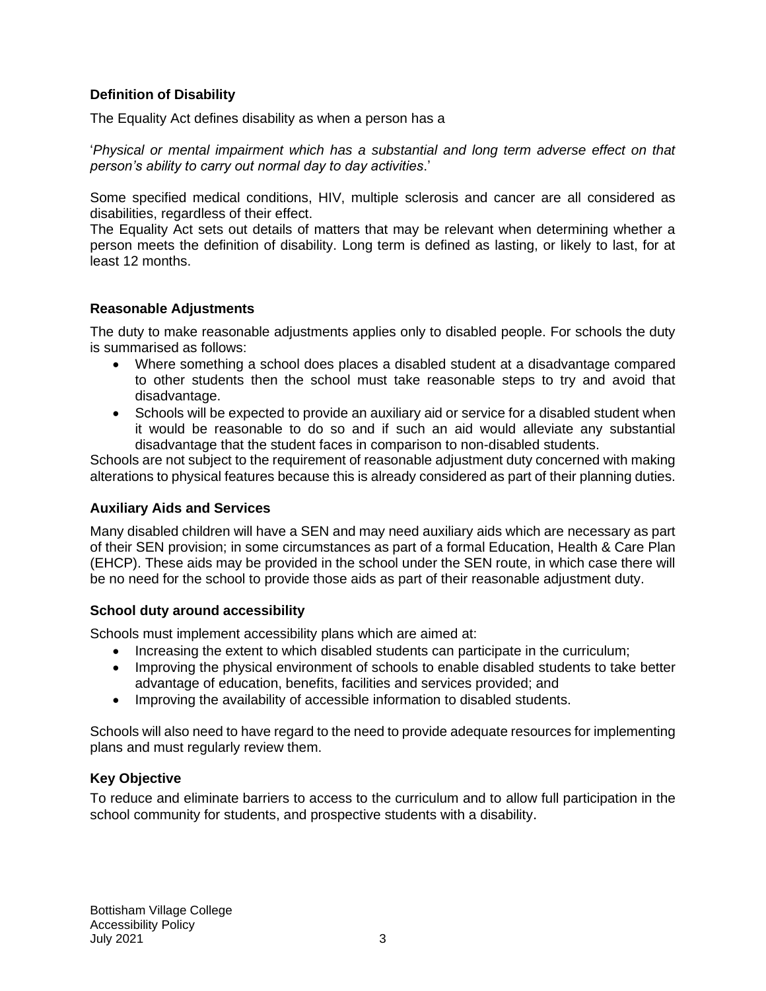#### **Definition of Disability**

The Equality Act defines disability as when a person has a

'*Physical or mental impairment which has a substantial and long term adverse effect on that person's ability to carry out normal day to day activities*.'

Some specified medical conditions, HIV, multiple sclerosis and cancer are all considered as disabilities, regardless of their effect.

The Equality Act sets out details of matters that may be relevant when determining whether a person meets the definition of disability. Long term is defined as lasting, or likely to last, for at least 12 months.

#### **Reasonable Adjustments**

The duty to make reasonable adjustments applies only to disabled people. For schools the duty is summarised as follows:

- Where something a school does places a disabled student at a disadvantage compared to other students then the school must take reasonable steps to try and avoid that disadvantage.
- Schools will be expected to provide an auxiliary aid or service for a disabled student when it would be reasonable to do so and if such an aid would alleviate any substantial disadvantage that the student faces in comparison to non-disabled students.

Schools are not subject to the requirement of reasonable adjustment duty concerned with making alterations to physical features because this is already considered as part of their planning duties.

#### **Auxiliary Aids and Services**

Many disabled children will have a SEN and may need auxiliary aids which are necessary as part of their SEN provision; in some circumstances as part of a formal Education, Health & Care Plan (EHCP). These aids may be provided in the school under the SEN route, in which case there will be no need for the school to provide those aids as part of their reasonable adjustment duty.

#### **School duty around accessibility**

Schools must implement accessibility plans which are aimed at:

- Increasing the extent to which disabled students can participate in the curriculum;
- Improving the physical environment of schools to enable disabled students to take better advantage of education, benefits, facilities and services provided; and
- Improving the availability of accessible information to disabled students.

Schools will also need to have regard to the need to provide adequate resources for implementing plans and must regularly review them.

#### **Key Objective**

To reduce and eliminate barriers to access to the curriculum and to allow full participation in the school community for students, and prospective students with a disability.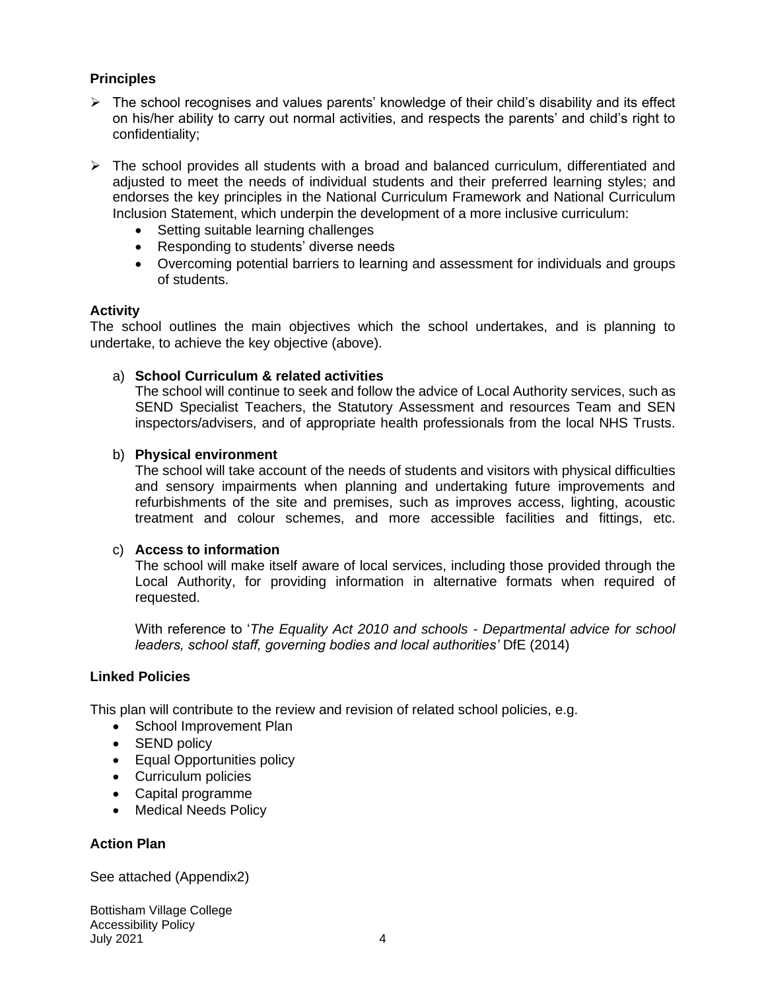#### **Principles**

- $\triangleright$  The school recognises and values parents' knowledge of their child's disability and its effect on his/her ability to carry out normal activities, and respects the parents' and child's right to confidentiality;
- ➢ The school provides all students with a broad and balanced curriculum, differentiated and adjusted to meet the needs of individual students and their preferred learning styles; and endorses the key principles in the National Curriculum Framework and National Curriculum Inclusion Statement, which underpin the development of a more inclusive curriculum:
	- Setting suitable learning challenges
	- Responding to students' diverse needs
	- Overcoming potential barriers to learning and assessment for individuals and groups of students.

#### **Activity**

The school outlines the main objectives which the school undertakes, and is planning to undertake, to achieve the key objective (above).

#### a) **School Curriculum & related activities**

The school will continue to seek and follow the advice of Local Authority services, such as SEND Specialist Teachers, the Statutory Assessment and resources Team and SEN inspectors/advisers, and of appropriate health professionals from the local NHS Trusts.

#### b) **Physical environment**

The school will take account of the needs of students and visitors with physical difficulties and sensory impairments when planning and undertaking future improvements and refurbishments of the site and premises, such as improves access, lighting, acoustic treatment and colour schemes, and more accessible facilities and fittings, etc.

#### c) **Access to information**

The school will make itself aware of local services, including those provided through the Local Authority, for providing information in alternative formats when required of requested.

With reference to '*The Equality Act 2010 and schools - Departmental advice for school leaders, school staff, governing bodies and local authorities'* DfE (2014)

#### **Linked Policies**

This plan will contribute to the review and revision of related school policies, e.g.

- School Improvement Plan
- SEND policy
- Equal Opportunities policy
- Curriculum policies
- Capital programme
- Medical Needs Policy

#### **Action Plan**

See attached (Appendix2)

Bottisham Village College Accessibility Policy July 2021 4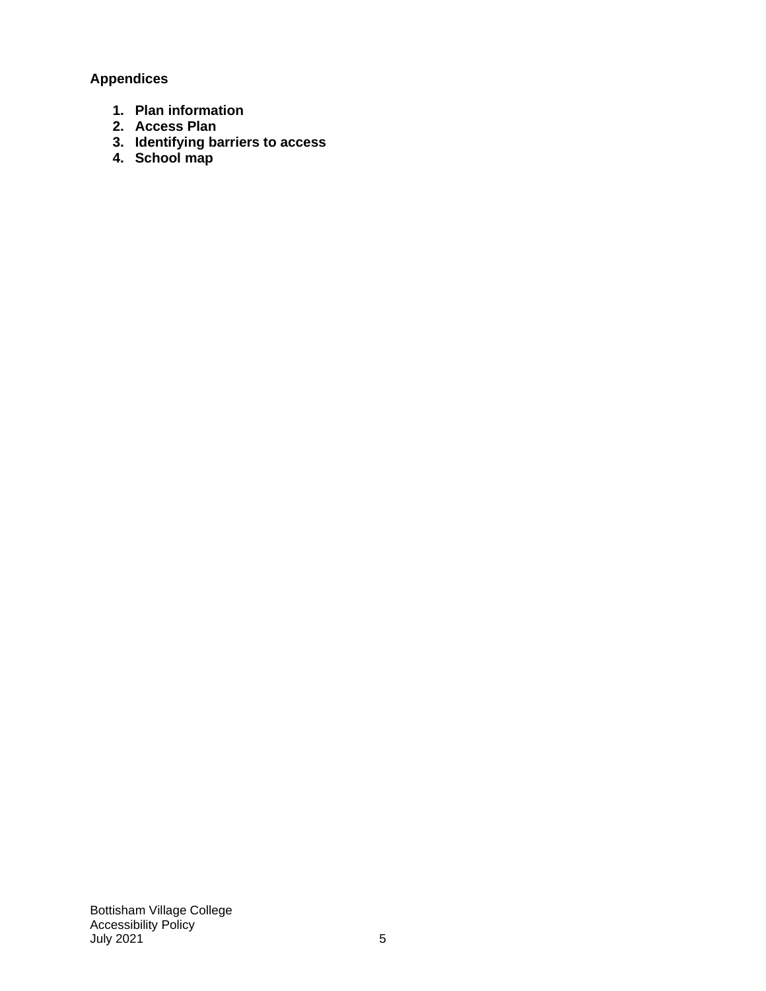**Appendices**

- **1. Plan information**
- **2. Access Plan**
- **3. Identifying barriers to access**
- **4. School map**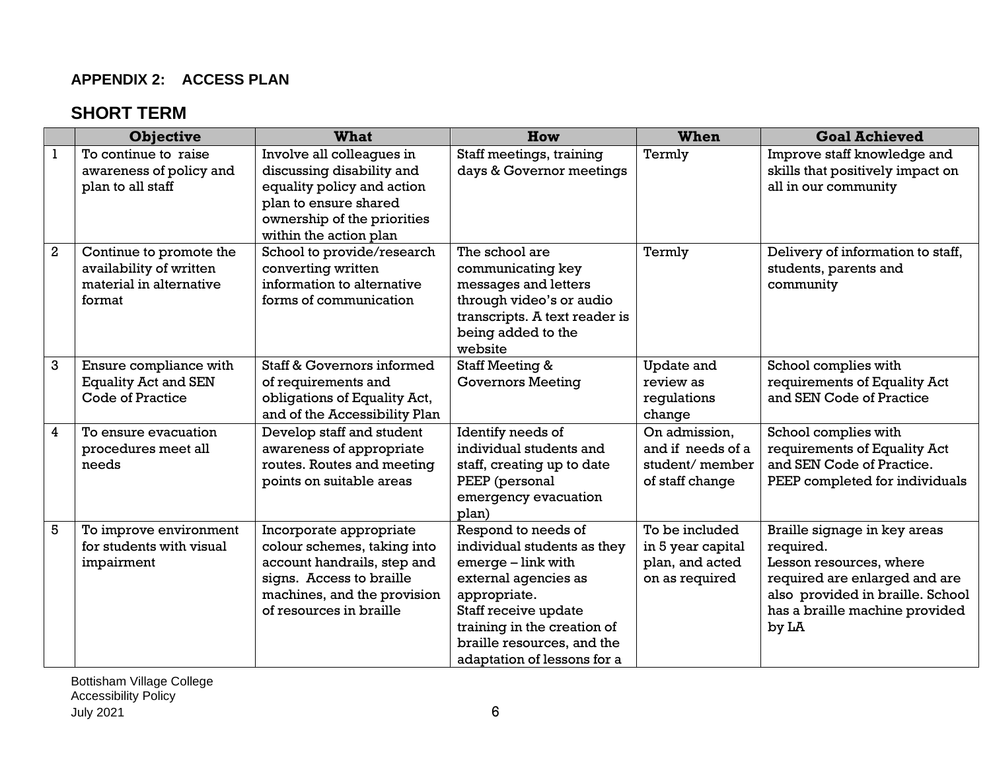### **APPENDIX 2: ACCESS PLAN**

## **SHORT TERM**

|                | <b>Objective</b>                                                                        | <b>What</b>                                                                                                                                                                 | How                                                                                                                                                                                                                                    | <b>When</b>                                                              | <b>Goal Achieved</b>                                                                                                                                                                 |
|----------------|-----------------------------------------------------------------------------------------|-----------------------------------------------------------------------------------------------------------------------------------------------------------------------------|----------------------------------------------------------------------------------------------------------------------------------------------------------------------------------------------------------------------------------------|--------------------------------------------------------------------------|--------------------------------------------------------------------------------------------------------------------------------------------------------------------------------------|
| $\mathbf{1}$   | To continue to raise<br>awareness of policy and<br>plan to all staff                    | Involve all colleagues in<br>discussing disability and<br>equality policy and action<br>plan to ensure shared<br>ownership of the priorities<br>within the action plan      | Staff meetings, training<br>days & Governor meetings                                                                                                                                                                                   | Termly                                                                   | Improve staff knowledge and<br>skills that positively impact on<br>all in our community                                                                                              |
| $\overline{2}$ | Continue to promote the<br>availability of written<br>material in alternative<br>format | School to provide/research<br>converting written<br>information to alternative<br>forms of communication                                                                    | The school are<br>communicating key<br>messages and letters<br>through video's or audio<br>transcripts. A text reader is<br>being added to the<br>website                                                                              | Termly                                                                   | Delivery of information to staff,<br>students, parents and<br>community                                                                                                              |
| $\mathbf{3}$   | Ensure compliance with<br><b>Equality Act and SEN</b><br>Code of Practice               | Staff & Governors informed<br>of requirements and<br>obligations of Equality Act,<br>and of the Accessibility Plan                                                          | Staff Meeting &<br><b>Governors Meeting</b>                                                                                                                                                                                            | Update and<br>review as<br>regulations<br>change                         | School complies with<br>requirements of Equality Act<br>and SEN Code of Practice                                                                                                     |
| $\overline{4}$ | To ensure evacuation<br>procedures meet all<br>needs                                    | Develop staff and student<br>awareness of appropriate<br>routes. Routes and meeting<br>points on suitable areas                                                             | Identify needs of<br>individual students and<br>staff, creating up to date<br>PEEP (personal<br>emergency evacuation<br>plan)                                                                                                          | On admission,<br>and if needs of a<br>student/member<br>of staff change  | School complies with<br>requirements of Equality Act<br>and SEN Code of Practice.<br>PEEP completed for individuals                                                                  |
| 5              | To improve environment<br>for students with visual<br>impairment                        | Incorporate appropriate<br>colour schemes, taking into<br>account handrails, step and<br>signs. Access to braille<br>machines, and the provision<br>of resources in braille | Respond to needs of<br>individual students as they<br>$emerge - link with$<br>external agencies as<br>appropriate.<br>Staff receive update<br>training in the creation of<br>braille resources, and the<br>adaptation of lessons for a | To be included<br>in 5 year capital<br>plan, and acted<br>on as required | Braille signage in key areas<br>required.<br>Lesson resources, where<br>required are enlarged and are<br>also provided in braille. School<br>has a braille machine provided<br>by LA |

Bottisham Village College Accessibility Policy July 2021  $\qquad \qquad 6$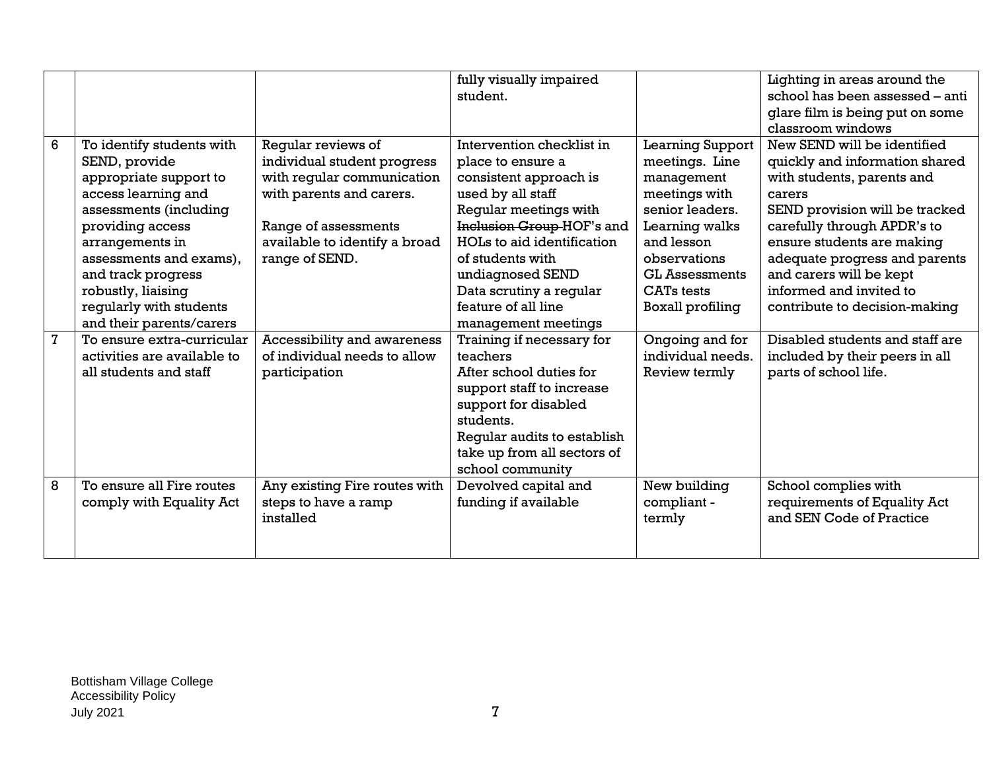|              |                                                                                                                                                                                                                                                                                            |                                                                                                                                                                                        | fully visually impaired<br>student.                                                                                                                                                                                                                                                                |                                                                                                                                                                                                                    | Lighting in areas around the<br>school has been assessed – anti<br>glare film is being put on some<br>classroom windows                                                                                                                                                                                                      |
|--------------|--------------------------------------------------------------------------------------------------------------------------------------------------------------------------------------------------------------------------------------------------------------------------------------------|----------------------------------------------------------------------------------------------------------------------------------------------------------------------------------------|----------------------------------------------------------------------------------------------------------------------------------------------------------------------------------------------------------------------------------------------------------------------------------------------------|--------------------------------------------------------------------------------------------------------------------------------------------------------------------------------------------------------------------|------------------------------------------------------------------------------------------------------------------------------------------------------------------------------------------------------------------------------------------------------------------------------------------------------------------------------|
| 6            | To identify students with<br>SEND, provide<br>appropriate support to<br>access learning and<br>assessments (including<br>providing access<br>arrangements in<br>assessments and exams),<br>and track progress<br>robustly, liaising<br>regularly with students<br>and their parents/carers | Regular reviews of<br>individual student progress<br>with regular communication<br>with parents and carers.<br>Range of assessments<br>available to identify a broad<br>range of SEND. | Intervention checklist in<br>place to ensure a<br>consistent approach is<br>used by all staff<br>Regular meetings with<br>Inclusion Group-HOF's and<br>HOLs to aid identification<br>of students with<br>undiagnosed SEND<br>Data scrutiny a regular<br>feature of all line<br>management meetings | <b>Learning Support</b><br>meetings. Line<br>management<br>meetings with<br>senior leaders.<br>Learning walks<br>and lesson<br>observations<br><b>GL Assessments</b><br>CAT <sub>s</sub> tests<br>Boxall profiling | New SEND will be identified<br>quickly and information shared<br>with students, parents and<br>carers<br>SEND provision will be tracked<br>carefully through APDR's to<br>ensure students are making<br>adequate progress and parents<br>and carers will be kept<br>informed and invited to<br>contribute to decision-making |
| $\mathbf{7}$ | To ensure extra-curricular<br>activities are available to<br>all students and staff                                                                                                                                                                                                        | Accessibility and awareness<br>of individual needs to allow<br>participation                                                                                                           | Training if necessary for<br>teachers<br>After school duties for<br>support staff to increase<br>support for disabled<br>students.<br>Regular audits to establish<br>take up from all sectors of<br>school community                                                                               | Ongoing and for<br>individual needs.<br>Review termly                                                                                                                                                              | Disabled students and staff are<br>included by their peers in all<br>parts of school life.                                                                                                                                                                                                                                   |
| 8            | To ensure all Fire routes<br>comply with Equality Act                                                                                                                                                                                                                                      | Any existing Fire routes with<br>steps to have a ramp<br>installed                                                                                                                     | Devolved capital and<br>funding if available                                                                                                                                                                                                                                                       | New building<br>compliant -<br>termly                                                                                                                                                                              | School complies with<br>requirements of Equality Act<br>and SEN Code of Practice                                                                                                                                                                                                                                             |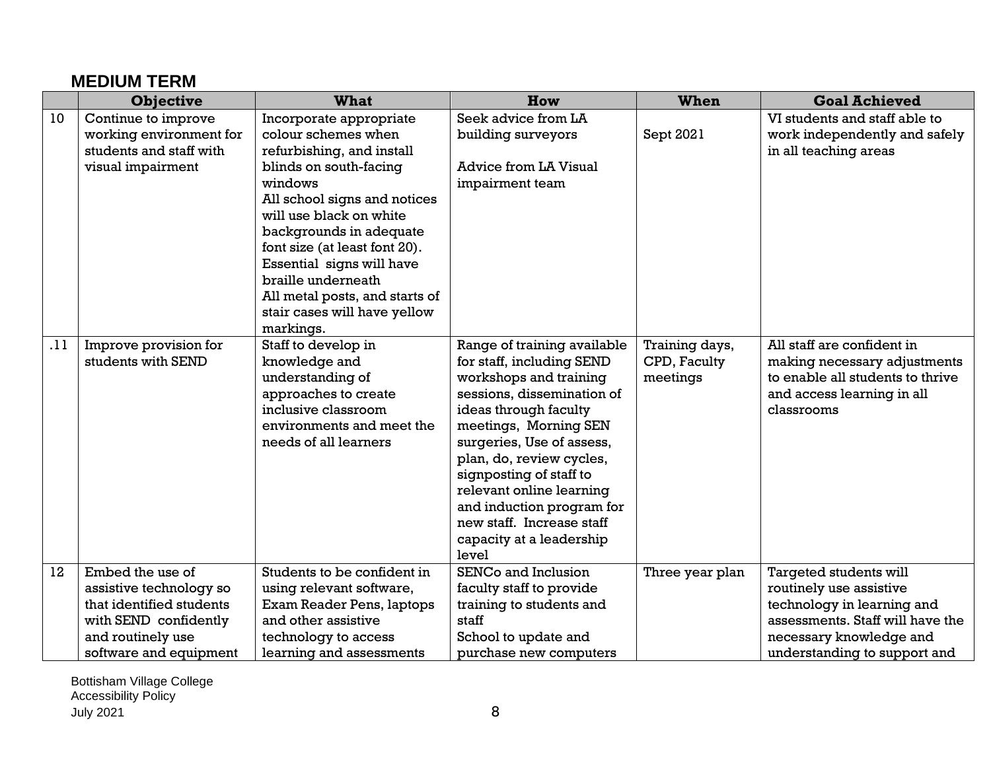## **MEDIUM TERM**

|     | <b>Objective</b>                                                                                                                                | <b>What</b>                                                                                                                                                                                                                                                                                                                                                               | How                                                                                                                                                                                                                                                                                                                                                                               | <b>When</b>                                | <b>Goal Achieved</b>                                                                                                                                                           |
|-----|-------------------------------------------------------------------------------------------------------------------------------------------------|---------------------------------------------------------------------------------------------------------------------------------------------------------------------------------------------------------------------------------------------------------------------------------------------------------------------------------------------------------------------------|-----------------------------------------------------------------------------------------------------------------------------------------------------------------------------------------------------------------------------------------------------------------------------------------------------------------------------------------------------------------------------------|--------------------------------------------|--------------------------------------------------------------------------------------------------------------------------------------------------------------------------------|
| 10  | Continue to improve<br>working environment for<br>students and staff with<br>visual impairment                                                  | Incorporate appropriate<br>colour schemes when<br>refurbishing, and install<br>blinds on south-facing<br>windows<br>All school signs and notices<br>will use black on white<br>backgrounds in adequate<br>font size (at least font 20).<br>Essential signs will have<br>braille underneath<br>All metal posts, and starts of<br>stair cases will have yellow<br>markings. | Seek advice from LA<br>building surveyors<br>Advice from LA Visual<br>impairment team                                                                                                                                                                                                                                                                                             | Sept 2021                                  | VI students and staff able to<br>work independently and safely<br>in all teaching areas                                                                                        |
| .11 | Improve provision for<br>students with SEND                                                                                                     | Staff to develop in<br>knowledge and<br>understanding of<br>approaches to create<br>inclusive classroom<br>environments and meet the<br>needs of all learners                                                                                                                                                                                                             | Range of training available<br>for staff, including SEND<br>workshops and training<br>sessions, dissemination of<br>ideas through faculty<br>meetings, Morning SEN<br>surgeries, Use of assess,<br>plan, do, review cycles,<br>signposting of staff to<br>relevant online learning<br>and induction program for<br>new staff. Increase staff<br>capacity at a leadership<br>level | Training days,<br>CPD, Faculty<br>meetings | All staff are confident in<br>making necessary adjustments<br>to enable all students to thrive<br>and access learning in all<br>classrooms                                     |
| 12  | Embed the use of<br>assistive technology so<br>that identified students<br>with SEND confidently<br>and routinely use<br>software and equipment | Students to be confident in<br>using relevant software,<br>Exam Reader Pens, laptops<br>and other assistive<br>technology to access<br>learning and assessments                                                                                                                                                                                                           | SENCo and Inclusion<br>faculty staff to provide<br>training to students and<br>staff<br>School to update and<br>purchase new computers                                                                                                                                                                                                                                            | Three year plan                            | Targeted students will<br>routinely use assistive<br>technology in learning and<br>assessments. Staff will have the<br>necessary knowledge and<br>understanding to support and |

Bottisham Village College Accessibility Policy July 2021 8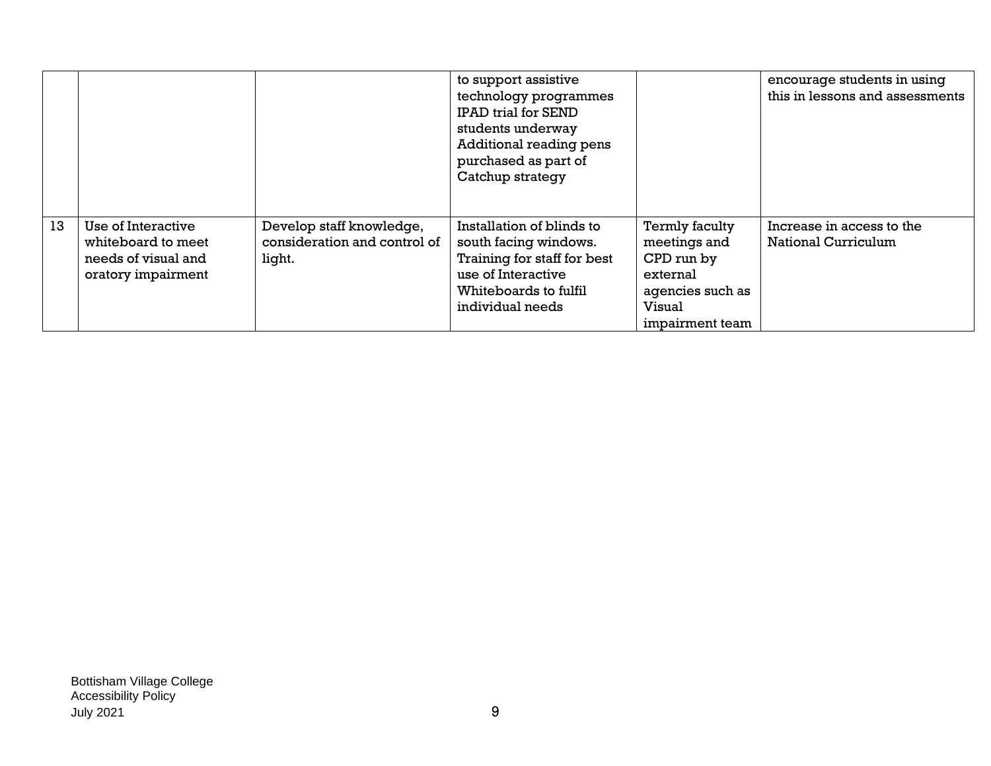|    |                                                                                       |                                                                    | to support assistive<br>technology programmes<br><b>IPAD</b> trial for SEND<br>students underway<br>Additional reading pens<br>purchased as part of<br>Catchup strategy |                                                                                                           | encourage students in using<br>this in lessons and assessments |
|----|---------------------------------------------------------------------------------------|--------------------------------------------------------------------|-------------------------------------------------------------------------------------------------------------------------------------------------------------------------|-----------------------------------------------------------------------------------------------------------|----------------------------------------------------------------|
| 13 | Use of Interactive<br>whiteboard to meet<br>needs of visual and<br>oratory impairment | Develop staff knowledge,<br>consideration and control of<br>light. | Installation of blinds to<br>south facing windows.<br>Training for staff for best<br>use of Interactive<br>Whiteboards to fulfil<br>individual needs                    | Termly faculty<br>meetings and<br>CPD run by<br>external<br>agencies such as<br>Visual<br>impairment team | Increase in access to the<br>National Curriculum               |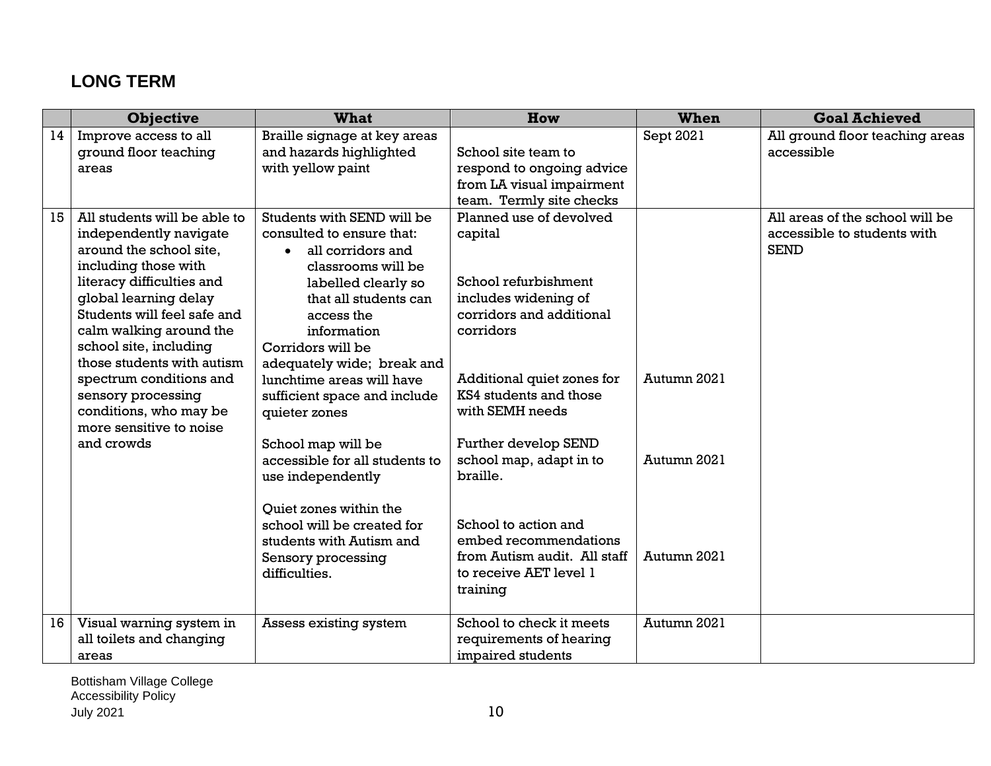## **LONG TERM**

|    | <b>Objective</b>                                                                                                                                                                                                                                                                                                                                                                                      | <b>What</b>                                                                                                                                                                                                                                                                                                                                                                                                                                                                                                              | How                                                                                                                                                                                                                                                                                                                                                                                          | When                                      | <b>Goal Achieved</b>                                                          |
|----|-------------------------------------------------------------------------------------------------------------------------------------------------------------------------------------------------------------------------------------------------------------------------------------------------------------------------------------------------------------------------------------------------------|--------------------------------------------------------------------------------------------------------------------------------------------------------------------------------------------------------------------------------------------------------------------------------------------------------------------------------------------------------------------------------------------------------------------------------------------------------------------------------------------------------------------------|----------------------------------------------------------------------------------------------------------------------------------------------------------------------------------------------------------------------------------------------------------------------------------------------------------------------------------------------------------------------------------------------|-------------------------------------------|-------------------------------------------------------------------------------|
| 14 | Improve access to all<br>ground floor teaching<br>areas                                                                                                                                                                                                                                                                                                                                               | Braille signage at key areas<br>and hazards highlighted<br>with yellow paint                                                                                                                                                                                                                                                                                                                                                                                                                                             | School site team to<br>respond to ongoing advice<br>from LA visual impairment<br>team. Termly site checks                                                                                                                                                                                                                                                                                    | Sept 2021                                 | All ground floor teaching areas<br>accessible                                 |
| 15 | All students will be able to<br>independently navigate<br>around the school site,<br>including those with<br>literacy difficulties and<br>global learning delay<br>Students will feel safe and<br>calm walking around the<br>school site, including<br>those students with autism<br>spectrum conditions and<br>sensory processing<br>conditions, who may be<br>more sensitive to noise<br>and crowds | Students with SEND will be<br>consulted to ensure that:<br>all corridors and<br>classrooms will be<br>labelled clearly so<br>that all students can<br>access the<br>information<br>Corridors will be<br>adequately wide; break and<br>lunchtime areas will have<br>sufficient space and include<br>quieter zones<br>School map will be<br>accessible for all students to<br>use independently<br>Quiet zones within the<br>school will be created for<br>students with Autism and<br>Sensory processing<br>difficulties. | Planned use of devolved<br>capital<br>School refurbishment<br>includes widening of<br>corridors and additional<br>corridors<br>Additional quiet zones for<br>KS4 students and those<br>with SEMH needs<br>Further develop SEND<br>school map, adapt in to<br>braille.<br>School to action and<br>embed recommendations<br>from Autism audit. All staff<br>to receive AET level 1<br>training | Autumn 2021<br>Autumn 2021<br>Autumn 2021 | All areas of the school will be<br>accessible to students with<br><b>SEND</b> |
| 16 | Visual warning system in<br>all toilets and changing<br>areas                                                                                                                                                                                                                                                                                                                                         | Assess existing system                                                                                                                                                                                                                                                                                                                                                                                                                                                                                                   | School to check it meets<br>requirements of hearing<br>impaired students                                                                                                                                                                                                                                                                                                                     | Autumn 2021                               |                                                                               |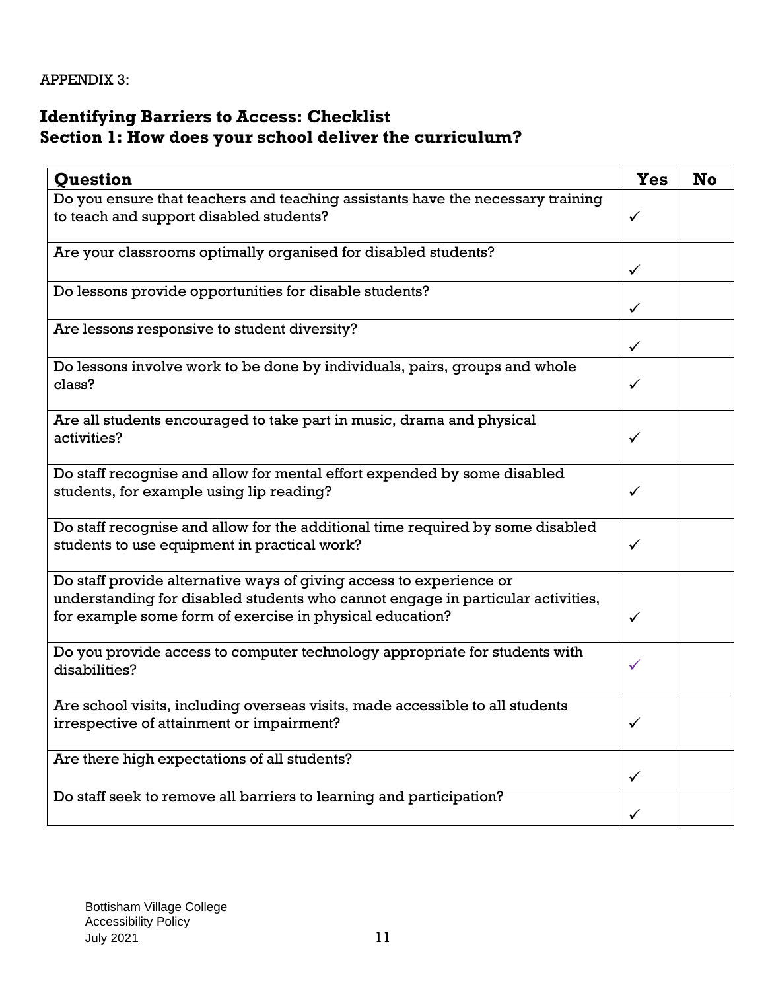APPENDIX 3:

## **Identifying Barriers to Access: Checklist Section 1: How does your school deliver the curriculum?**

| Question                                                                                                                                                                                                           | <b>Yes</b>   | <b>No</b> |
|--------------------------------------------------------------------------------------------------------------------------------------------------------------------------------------------------------------------|--------------|-----------|
| Do you ensure that teachers and teaching assistants have the necessary training<br>to teach and support disabled students?                                                                                         | ✓            |           |
| Are your classrooms optimally organised for disabled students?                                                                                                                                                     | ✓            |           |
| Do lessons provide opportunities for disable students?                                                                                                                                                             | ✓            |           |
| Are lessons responsive to student diversity?                                                                                                                                                                       | $\checkmark$ |           |
| Do lessons involve work to be done by individuals, pairs, groups and whole<br>class?                                                                                                                               | ✓            |           |
| Are all students encouraged to take part in music, drama and physical<br>activities?                                                                                                                               | $\checkmark$ |           |
| Do staff recognise and allow for mental effort expended by some disabled<br>students, for example using lip reading?                                                                                               | ✓            |           |
| Do staff recognise and allow for the additional time required by some disabled<br>students to use equipment in practical work?                                                                                     | ✓            |           |
| Do staff provide alternative ways of giving access to experience or<br>understanding for disabled students who cannot engage in particular activities,<br>for example some form of exercise in physical education? | $\checkmark$ |           |
| Do you provide access to computer technology appropriate for students with<br>disabilities?                                                                                                                        | ✓            |           |
| Are school visits, including overseas visits, made accessible to all students<br>irrespective of attainment or impairment?                                                                                         |              |           |
| Are there high expectations of all students?                                                                                                                                                                       | ✓            |           |
| Do staff seek to remove all barriers to learning and participation?                                                                                                                                                |              |           |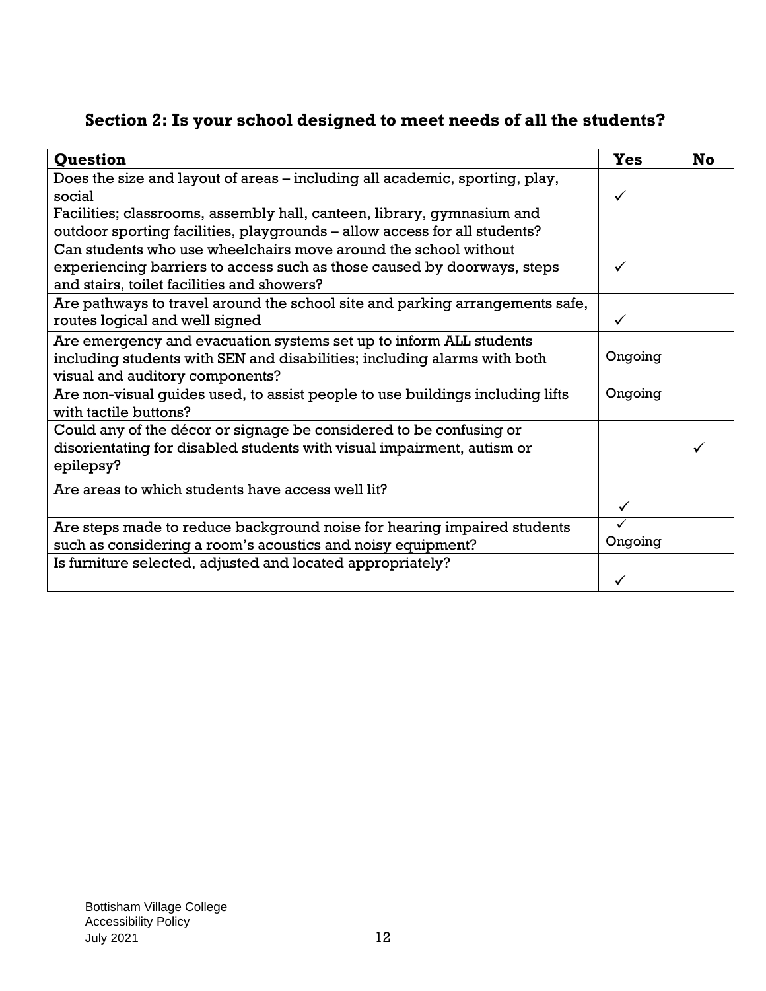## **Section 2: Is your school designed to meet needs of all the students?**

| Question                                                                                                                                                                                 | <b>Yes</b> | No |
|------------------------------------------------------------------------------------------------------------------------------------------------------------------------------------------|------------|----|
| Does the size and layout of areas – including all academic, sporting, play,<br>social                                                                                                    | ✓          |    |
| Facilities; classrooms, assembly hall, canteen, library, gymnasium and<br>outdoor sporting facilities, playgrounds - allow access for all students?                                      |            |    |
| Can students who use wheelchairs move around the school without<br>experiencing barriers to access such as those caused by doorways, steps<br>and stairs, toilet facilities and showers? |            |    |
| Are pathways to travel around the school site and parking arrangements safe,<br>routes logical and well signed                                                                           | ✓          |    |
| Are emergency and evacuation systems set up to inform ALL students<br>including students with SEN and disabilities; including alarms with both<br>visual and auditory components?        | Ongoing    |    |
| Are non-visual guides used, to assist people to use buildings including lifts<br>with tactile buttons?                                                                                   | Ongoing    |    |
| Could any of the décor or signage be considered to be confusing or<br>disorientating for disabled students with visual impairment, autism or<br>epilepsy?                                |            |    |
| Are areas to which students have access well lit?                                                                                                                                        | ✓          |    |
| Are steps made to reduce background noise for hearing impaired students<br>such as considering a room's acoustics and noisy equipment?                                                   | Ongoing    |    |
| Is furniture selected, adjusted and located appropriately?                                                                                                                               |            |    |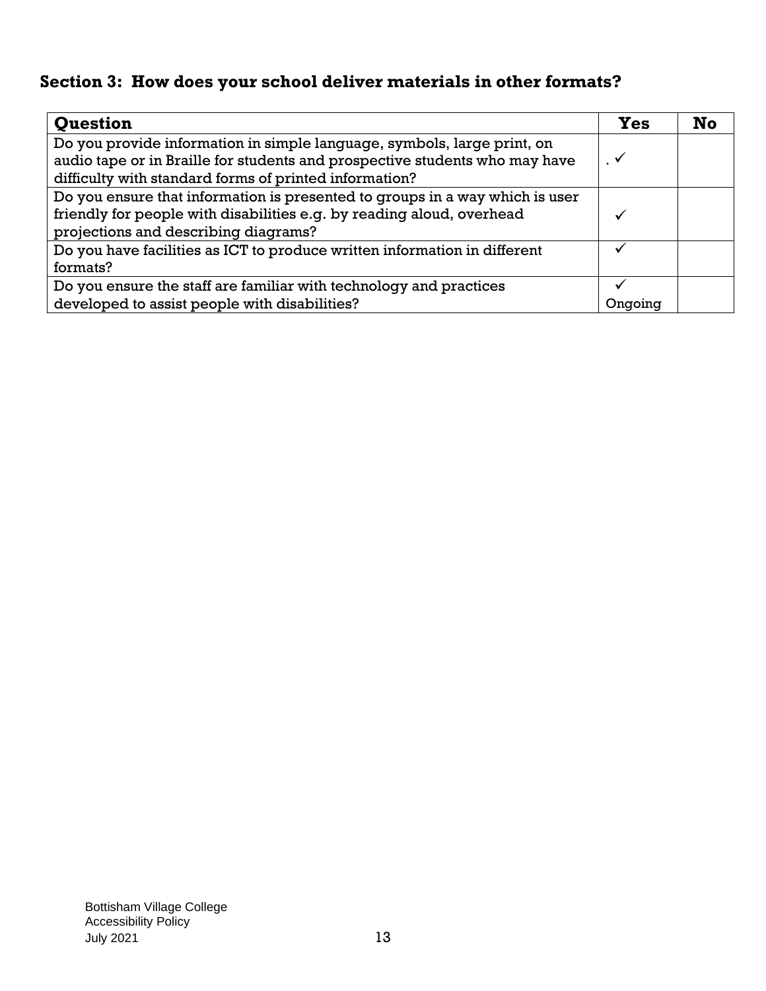## **Section 3: How does your school deliver materials in other formats?**

| <b>Question</b>                                                              | <b>Yes</b> | <b>No</b> |
|------------------------------------------------------------------------------|------------|-----------|
| Do you provide information in simple language, symbols, large print, on      |            |           |
| audio tape or in Braille for students and prospective students who may have  | ✔          |           |
| difficulty with standard forms of printed information?                       |            |           |
| Do you ensure that information is presented to groups in a way which is user |            |           |
| friendly for people with disabilities e.g. by reading aloud, overhead        |            |           |
| projections and describing diagrams?                                         |            |           |
| Do you have facilities as ICT to produce written information in different    |            |           |
| formats?                                                                     |            |           |
| Do you ensure the staff are familiar with technology and practices           |            |           |
| developed to assist people with disabilities?                                | Ongoing    |           |